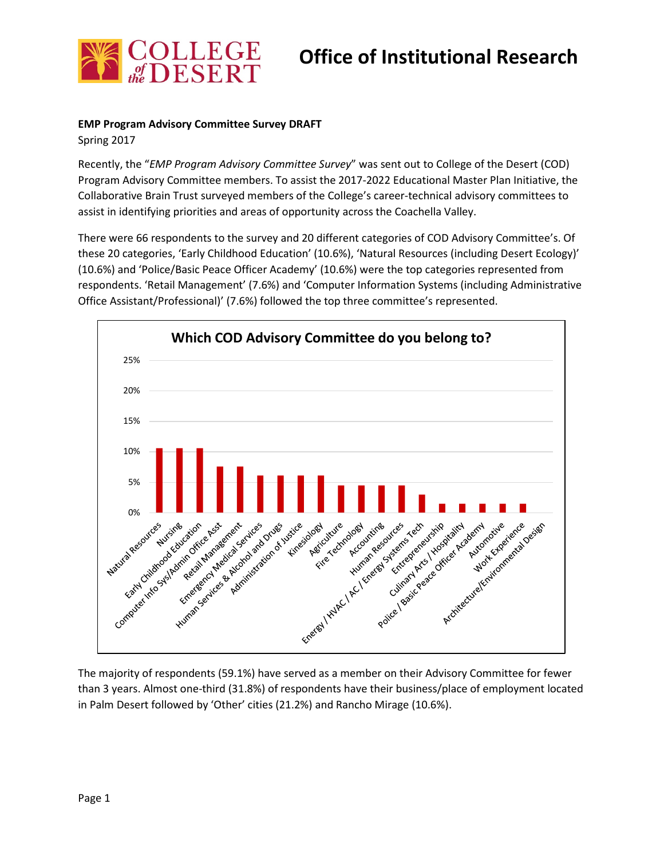

# **Office of Institutional Research**

### **EMP Program Advisory Committee Survey DRAFT**

Spring 2017

Recently, the "*EMP Program Advisory Committee Survey*" was sent out to College of the Desert (COD) Program Advisory Committee members. To assist the 2017-2022 Educational Master Plan Initiative, the Collaborative Brain Trust surveyed members of the College's career-technical advisory committees to assist in identifying priorities and areas of opportunity across the Coachella Valley.

There were 66 respondents to the survey and 20 different categories of COD Advisory Committee's. Of these 20 categories, 'Early Childhood Education' (10.6%), 'Natural Resources (including Desert Ecology)' (10.6%) and 'Police/Basic Peace Officer Academy' (10.6%) were the top categories represented from respondents. 'Retail Management' (7.6%) and 'Computer Information Systems (including Administrative Office Assistant/Professional)' (7.6%) followed the top three committee's represented.



The majority of respondents (59.1%) have served as a member on their Advisory Committee for fewer than 3 years. Almost one-third (31.8%) of respondents have their business/place of employment located in Palm Desert followed by 'Other' cities (21.2%) and Rancho Mirage (10.6%).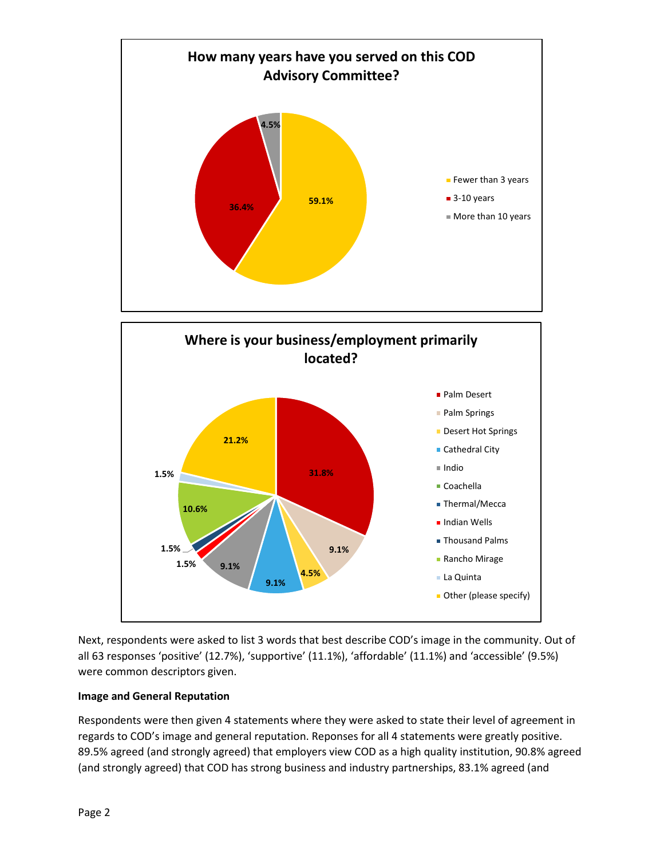

Next, respondents were asked to list 3 words that best describe COD's image in the community. Out of all 63 responses 'positive' (12.7%), 'supportive' (11.1%), 'affordable' (11.1%) and 'accessible' (9.5%) were common descriptors given.

## **Image and General Reputation**

Respondents were then given 4 statements where they were asked to state their level of agreement in regards to COD's image and general reputation. Reponses for all 4 statements were greatly positive. 89.5% agreed (and strongly agreed) that employers view COD as a high quality institution, 90.8% agreed (and strongly agreed) that COD has strong business and industry partnerships, 83.1% agreed (and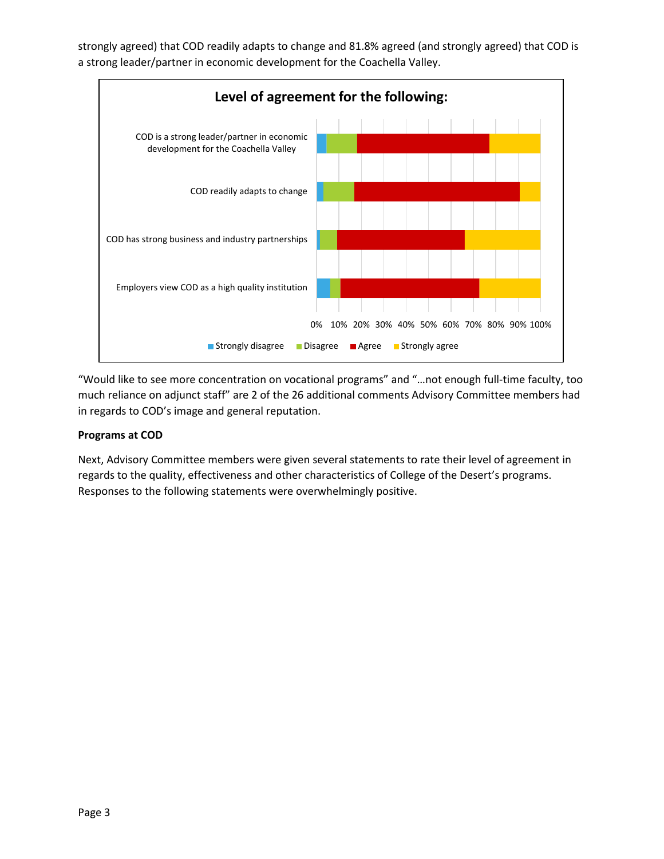strongly agreed) that COD readily adapts to change and 81.8% agreed (and strongly agreed) that COD is a strong leader/partner in economic development for the Coachella Valley.



"Would like to see more concentration on vocational programs" and "…not enough full-time faculty, too much reliance on adjunct staff" are 2 of the 26 additional comments Advisory Committee members had in regards to COD's image and general reputation.

## **Programs at COD**

Next, Advisory Committee members were given several statements to rate their level of agreement in regards to the quality, effectiveness and other characteristics of College of the Desert's programs. Responses to the following statements were overwhelmingly positive.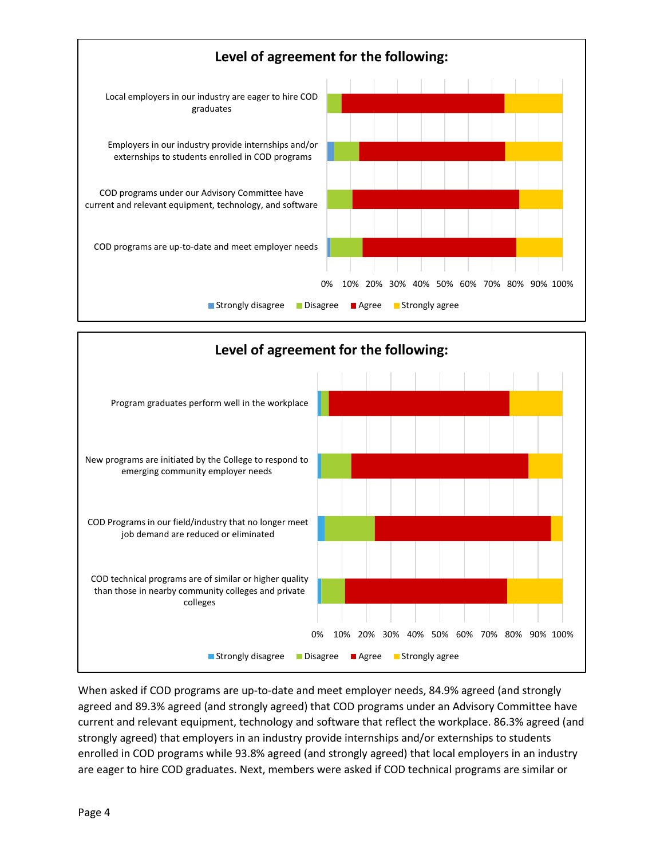



When asked if COD programs are up-to-date and meet employer needs, 84.9% agreed (and strongly agreed and 89.3% agreed (and strongly agreed) that COD programs under an Advisory Committee have current and relevant equipment, technology and software that reflect the workplace. 86.3% agreed (and strongly agreed) that employers in an industry provide internships and/or externships to students enrolled in COD programs while 93.8% agreed (and strongly agreed) that local employers in an industry are eager to hire COD graduates. Next, members were asked if COD technical programs are similar or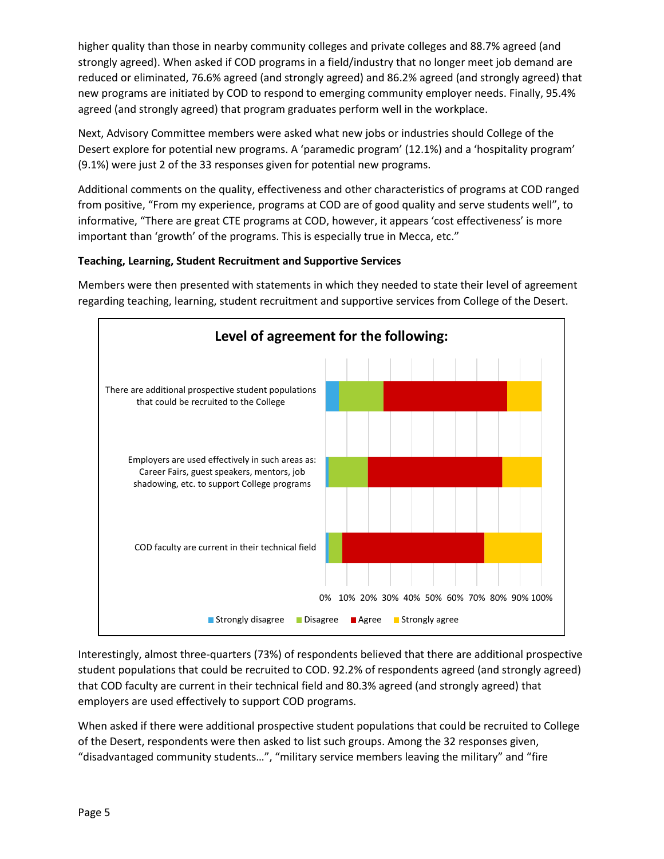higher quality than those in nearby community colleges and private colleges and 88.7% agreed (and strongly agreed). When asked if COD programs in a field/industry that no longer meet job demand are reduced or eliminated, 76.6% agreed (and strongly agreed) and 86.2% agreed (and strongly agreed) that new programs are initiated by COD to respond to emerging community employer needs. Finally, 95.4% agreed (and strongly agreed) that program graduates perform well in the workplace.

Next, Advisory Committee members were asked what new jobs or industries should College of the Desert explore for potential new programs. A 'paramedic program' (12.1%) and a 'hospitality program' (9.1%) were just 2 of the 33 responses given for potential new programs.

Additional comments on the quality, effectiveness and other characteristics of programs at COD ranged from positive, "From my experience, programs at COD are of good quality and serve students well", to informative, "There are great CTE programs at COD, however, it appears 'cost effectiveness' is more important than 'growth' of the programs. This is especially true in Mecca, etc."

## **Teaching, Learning, Student Recruitment and Supportive Services**

Members were then presented with statements in which they needed to state their level of agreement regarding teaching, learning, student recruitment and supportive services from College of the Desert.



Interestingly, almost three-quarters (73%) of respondents believed that there are additional prospective student populations that could be recruited to COD. 92.2% of respondents agreed (and strongly agreed) that COD faculty are current in their technical field and 80.3% agreed (and strongly agreed) that employers are used effectively to support COD programs.

When asked if there were additional prospective student populations that could be recruited to College of the Desert, respondents were then asked to list such groups. Among the 32 responses given, "disadvantaged community students…", "military service members leaving the military" and "fire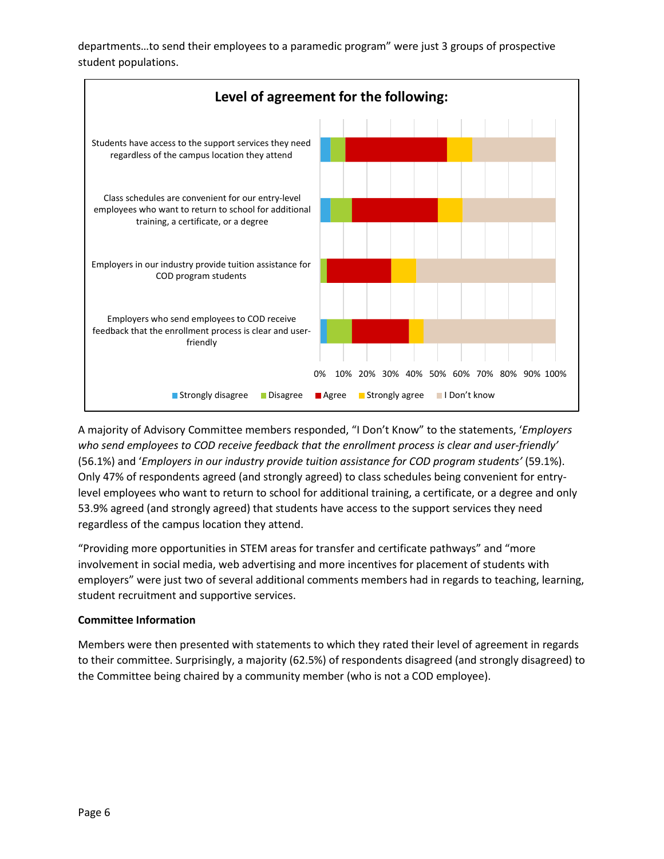departments…to send their employees to a paramedic program" were just 3 groups of prospective student populations.



A majority of Advisory Committee members responded, "I Don't Know" to the statements, '*Employers who send employees to COD receive feedback that the enrollment process is clear and user-friendly'* (56.1%) and '*Employers in our industry provide tuition assistance for COD program students'* (59.1%). Only 47% of respondents agreed (and strongly agreed) to class schedules being convenient for entrylevel employees who want to return to school for additional training, a certificate, or a degree and only 53.9% agreed (and strongly agreed) that students have access to the support services they need regardless of the campus location they attend.

"Providing more opportunities in STEM areas for transfer and certificate pathways" and "more involvement in social media, web advertising and more incentives for placement of students with employers" were just two of several additional comments members had in regards to teaching, learning, student recruitment and supportive services.

### **Committee Information**

Members were then presented with statements to which they rated their level of agreement in regards to their committee. Surprisingly, a majority (62.5%) of respondents disagreed (and strongly disagreed) to the Committee being chaired by a community member (who is not a COD employee).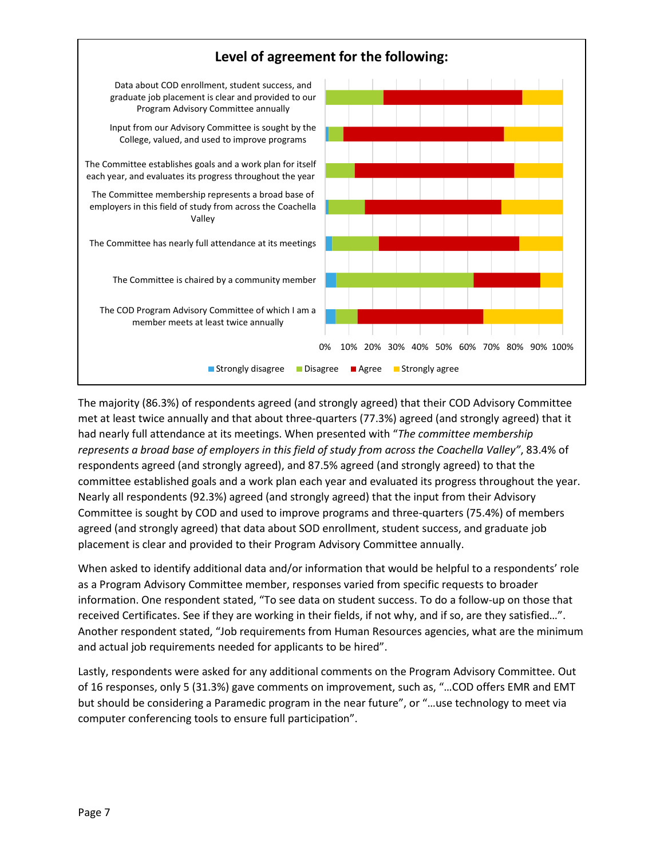

The majority (86.3%) of respondents agreed (and strongly agreed) that their COD Advisory Committee met at least twice annually and that about three-quarters (77.3%) agreed (and strongly agreed) that it had nearly full attendance at its meetings. When presented with "*The committee membership represents a broad base of employers in this field of study from across the Coachella Valley"*, 83.4% of respondents agreed (and strongly agreed), and 87.5% agreed (and strongly agreed) to that the committee established goals and a work plan each year and evaluated its progress throughout the year. Nearly all respondents (92.3%) agreed (and strongly agreed) that the input from their Advisory Committee is sought by COD and used to improve programs and three-quarters (75.4%) of members agreed (and strongly agreed) that data about SOD enrollment, student success, and graduate job placement is clear and provided to their Program Advisory Committee annually.

When asked to identify additional data and/or information that would be helpful to a respondents' role as a Program Advisory Committee member, responses varied from specific requests to broader information. One respondent stated, "To see data on student success. To do a follow-up on those that received Certificates. See if they are working in their fields, if not why, and if so, are they satisfied…". Another respondent stated, "Job requirements from Human Resources agencies, what are the minimum and actual job requirements needed for applicants to be hired".

Lastly, respondents were asked for any additional comments on the Program Advisory Committee. Out of 16 responses, only 5 (31.3%) gave comments on improvement, such as, "…COD offers EMR and EMT but should be considering a Paramedic program in the near future", or "…use technology to meet via computer conferencing tools to ensure full participation".